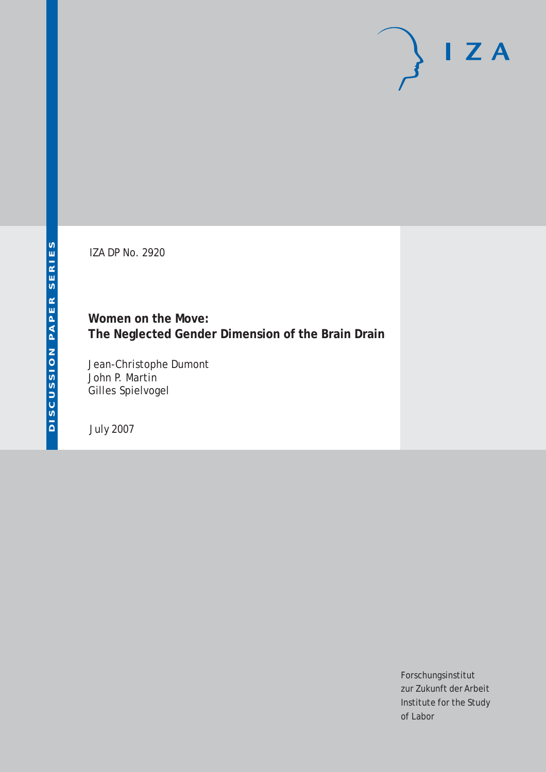# $I Z A$

IZA DP No. 2920

**Women on the Move: The Neglected Gender Dimension of the Brain Drain**

Jean-Christophe Dumont John P. Martin Gilles Spielvogel

July 2007

Forschungsinstitut zur Zukunft der Arbeit Institute for the Study of Labor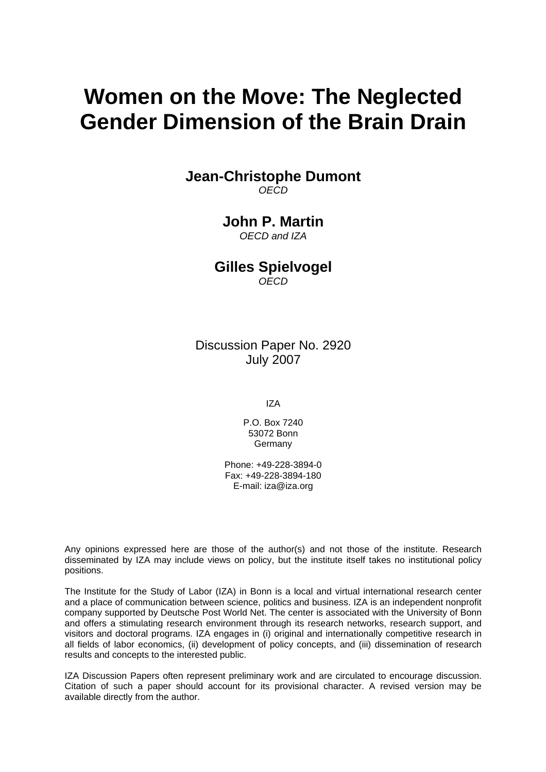## **Women on the Move: The Neglected Gender Dimension of the Brain Drain**

#### **Jean-Christophe Dumont**  *OECD*

### **John P. Martin**

*OECD and IZA* 

**Gilles Spielvogel**  *OECD* 

Discussion Paper No. 2920 July 2007

IZA

P.O. Box 7240 53072 Bonn Germany

Phone: +49-228-3894-0 Fax: +49-228-3894-180 E-mail: [iza@iza.org](mailto:iza@iza.org)

Any opinions expressed here are those of the author(s) and not those of the institute. Research disseminated by IZA may include views on policy, but the institute itself takes no institutional policy positions.

The Institute for the Study of Labor (IZA) in Bonn is a local and virtual international research center and a place of communication between science, politics and business. IZA is an independent nonprofit company supported by Deutsche Post World Net. The center is associated with the University of Bonn and offers a stimulating research environment through its research networks, research support, and visitors and doctoral programs. IZA engages in (i) original and internationally competitive research in all fields of labor economics, (ii) development of policy concepts, and (iii) dissemination of research results and concepts to the interested public.

IZA Discussion Papers often represent preliminary work and are circulated to encourage discussion. Citation of such a paper should account for its provisional character. A revised version may be available directly from the author.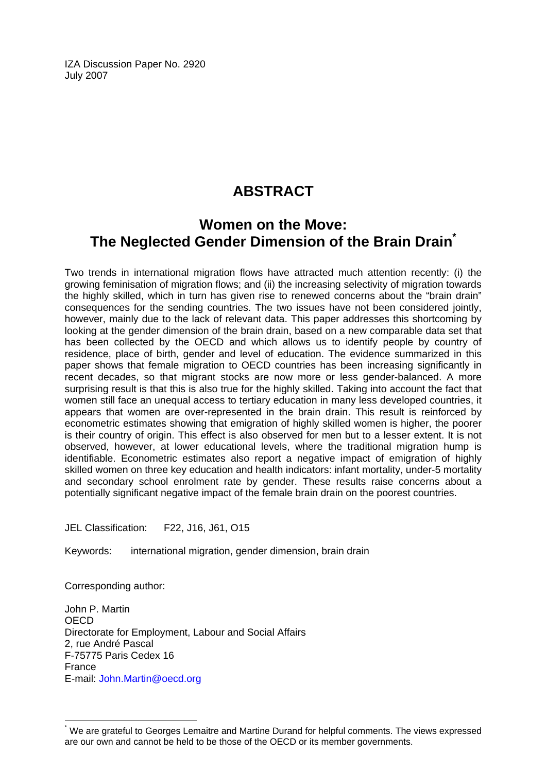IZA Discussion Paper No. 2920 July 2007

## **ABSTRACT**

## **Women on the Move: The Neglected Gender Dimension of the Brain Drain[\\*](#page-2-0)**

Two trends in international migration flows have attracted much attention recently: (i) the growing feminisation of migration flows; and (ii) the increasing selectivity of migration towards the highly skilled, which in turn has given rise to renewed concerns about the "brain drain" consequences for the sending countries. The two issues have not been considered jointly, however, mainly due to the lack of relevant data. This paper addresses this shortcoming by looking at the gender dimension of the brain drain, based on a new comparable data set that has been collected by the OECD and which allows us to identify people by country of residence, place of birth, gender and level of education. The evidence summarized in this paper shows that female migration to OECD countries has been increasing significantly in recent decades, so that migrant stocks are now more or less gender-balanced. A more surprising result is that this is also true for the highly skilled. Taking into account the fact that women still face an unequal access to tertiary education in many less developed countries, it appears that women are over-represented in the brain drain. This result is reinforced by econometric estimates showing that emigration of highly skilled women is higher, the poorer is their country of origin. This effect is also observed for men but to a lesser extent. It is not observed, however, at lower educational levels, where the traditional migration hump is identifiable. Econometric estimates also report a negative impact of emigration of highly skilled women on three key education and health indicators: infant mortality, under-5 mortality and secondary school enrolment rate by gender. These results raise concerns about a potentially significant negative impact of the female brain drain on the poorest countries.

JEL Classification: F22, J16, J61, O15

Keywords: international migration, gender dimension, brain drain

Corresponding author:

 $\overline{a}$ 

John P. Martin OECD Directorate for Employment, Labour and Social Affairs 2, rue André Pascal F-75775 Paris Cedex 16 France E-mail: [John.Martin@oecd.org](mailto:John.Martin@oecd.org)

<span id="page-2-0"></span><sup>\*</sup> We are grateful to Georges Lemaitre and Martine Durand for helpful comments. The views expressed are our own and cannot be held to be those of the OECD or its member governments.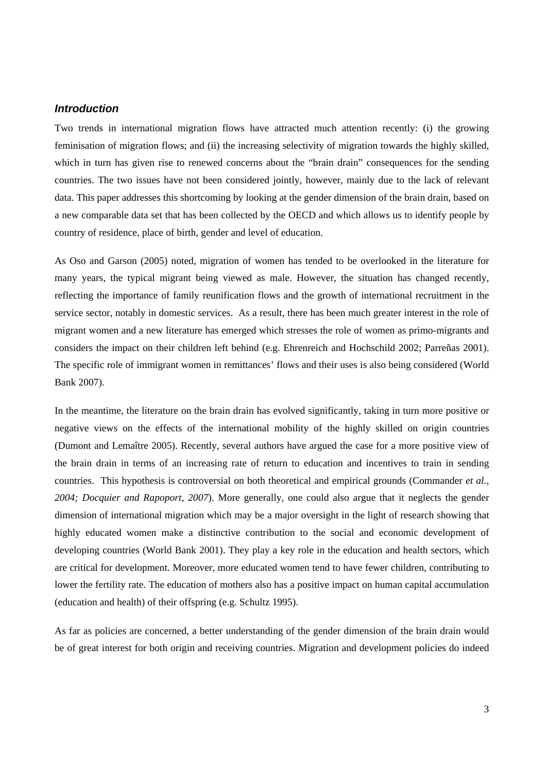#### *Introduction*

Two trends in international migration flows have attracted much attention recently: (i) the growing feminisation of migration flows; and (ii) the increasing selectivity of migration towards the highly skilled, which in turn has given rise to renewed concerns about the "brain drain" consequences for the sending countries. The two issues have not been considered jointly, however, mainly due to the lack of relevant data. This paper addresses this shortcoming by looking at the gender dimension of the brain drain, based on a new comparable data set that has been collected by the OECD and which allows us to identify people by country of residence, place of birth, gender and level of education.

As Oso and Garson (2005) noted, migration of women has tended to be overlooked in the literature for many years, the typical migrant being viewed as male. However, the situation has changed recently, reflecting the importance of family reunification flows and the growth of international recruitment in the service sector, notably in domestic services. As a result, there has been much greater interest in the role of migrant women and a new literature has emerged which stresses the role of women as primo-migrants and considers the impact on their children left behind (e.g. Ehrenreich and Hochschild 2002; Parreñas 2001). The specific role of immigrant women in remittances' flows and their uses is also being considered (World Bank 2007).

In the meantime, the literature on the brain drain has evolved significantly, taking in turn more positive or negative views on the effects of the international mobility of the highly skilled on origin countries (Dumont and Lemaître 2005). Recently, several authors have argued the case for a more positive view of the brain drain in terms of an increasing rate of return to education and incentives to train in sending countries. This hypothesis is controversial on both theoretical and empirical grounds (Commander *et al., 2004; Docquier and Rapoport, 2007*). More generally, one could also argue that it neglects the gender dimension of international migration which may be a major oversight in the light of research showing that highly educated women make a distinctive contribution to the social and economic development of developing countries (World Bank 2001). They play a key role in the education and health sectors, which are critical for development. Moreover, more educated women tend to have fewer children, contributing to lower the fertility rate. The education of mothers also has a positive impact on human capital accumulation (education and health) of their offspring (e.g. Schultz 1995).

As far as policies are concerned, a better understanding of the gender dimension of the brain drain would be of great interest for both origin and receiving countries. Migration and development policies do indeed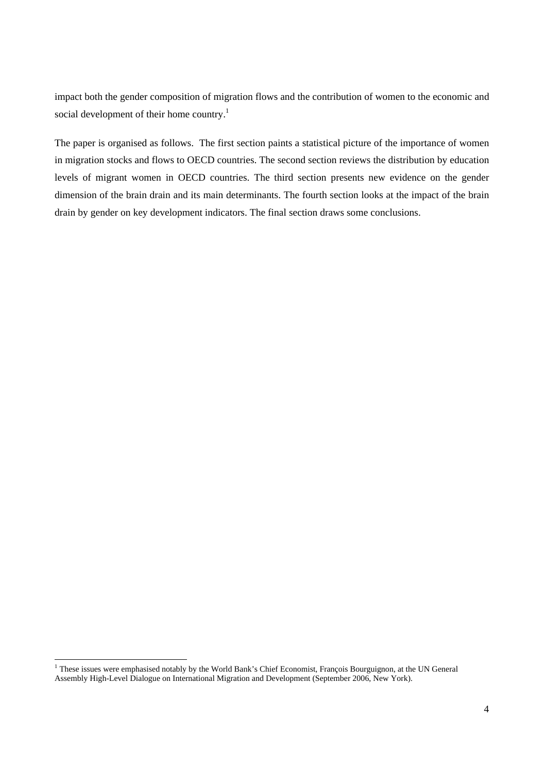impact both the gender composition of migration flows and the contribution of women to the economic and social development of their home country.<sup>[1](#page-4-0)</sup>

The paper is organised as follows. The first section paints a statistical picture of the importance of women in migration stocks and flows to OECD countries. The second section reviews the distribution by education levels of migrant women in OECD countries. The third section presents new evidence on the gender dimension of the brain drain and its main determinants. The fourth section looks at the impact of the brain drain by gender on key development indicators. The final section draws some conclusions.

<span id="page-4-0"></span><sup>|&</sup>lt;br>|<br>| <sup>1</sup> These issues were emphasised notably by the World Bank's Chief Economist, François Bourguignon, at the UN General Assembly High-Level Dialogue on International Migration and Development (September 2006, New York).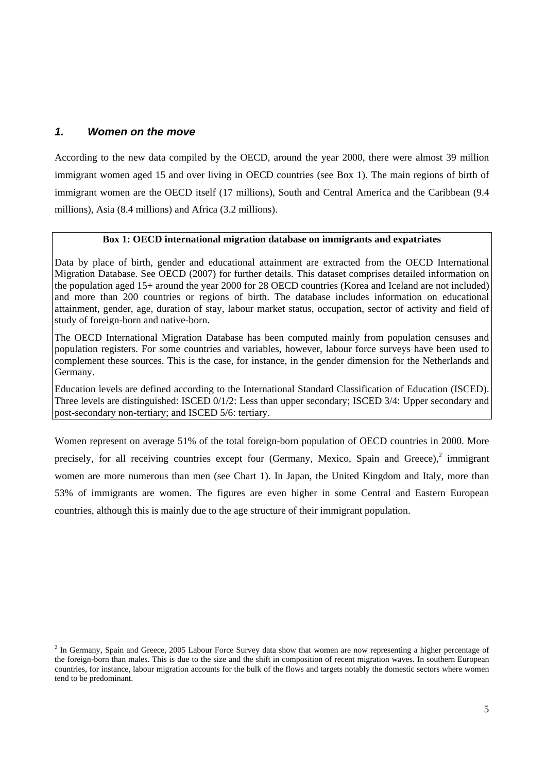#### *1. Women on the move*

According to the new data compiled by the OECD, around the year 2000, there were almost 39 million immigrant women aged 15 and over living in OECD countries (see Box 1). The main regions of birth of immigrant women are the OECD itself (17 millions), South and Central America and the Caribbean (9.4 millions), Asia (8.4 millions) and Africa (3.2 millions).

#### **Box 1: OECD international migration database on immigrants and expatriates**

Data by place of birth, gender and educational attainment are extracted from the OECD International Migration Database. See OECD (2007) for further details. This dataset comprises detailed information on the population aged 15+ around the year 2000 for 28 OECD countries (Korea and Iceland are not included) and more than 200 countries or regions of birth. The database includes information on educational attainment, gender, age, duration of stay, labour market status, occupation, sector of activity and field of study of foreign-born and native-born.

The OECD International Migration Database has been computed mainly from population censuses and population registers. For some countries and variables, however, labour force surveys have been used to complement these sources. This is the case, for instance, in the gender dimension for the Netherlands and Germany.

Education levels are defined according to the International Standard Classification of Education (ISCED). Three levels are distinguished: ISCED 0/1/2: Less than upper secondary; ISCED 3/4: Upper secondary and post-secondary non-tertiary; and ISCED 5/6: tertiary.

Women represent on average 51% of the total foreign-born population of OECD countries in 2000. More precisely, for all receiving countries except four (Germany, Mexico, Spain and Greece), $^2$  immigrant women are more numerous than men (see Chart 1). In Japan, the United Kingdom and Italy, more than 53% of immigrants are women. The figures are even higher in some Central and Eastern European countries, although this is mainly due to the age structure of their immigrant population.

<span id="page-5-0"></span> $\frac{1}{2}$  $2$  In Germany, Spain and Greece, 2005 Labour Force Survey data show that women are now representing a higher percentage of the foreign-born than males. This is due to the size and the shift in composition of recent migration waves. In southern European countries, for instance, labour migration accounts for the bulk of the flows and targets notably the domestic sectors where women tend to be predominant.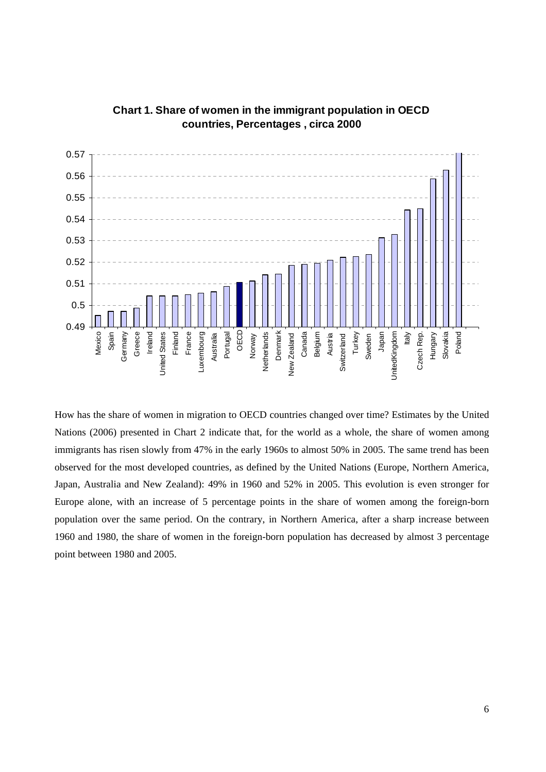

#### **Chart 1. Share of women in the immigrant population in OECD countries, Percentages , circa 2000**

How has the share of women in migration to OECD countries changed over time? Estimates by the United Nations (2006) presented in Chart 2 indicate that, for the world as a whole, the share of women among immigrants has risen slowly from 47% in the early 1960s to almost 50% in 2005. The same trend has been observed for the most developed countries, as defined by the United Nations (Europe, Northern America, Japan, Australia and New Zealand): 49% in 1960 and 52% in 2005. This evolution is even stronger for Europe alone, with an increase of 5 percentage points in the share of women among the foreign-born population over the same period. On the contrary, in Northern America, after a sharp increase between 1960 and 1980, the share of women in the foreign-born population has decreased by almost 3 percentage point between 1980 and 2005.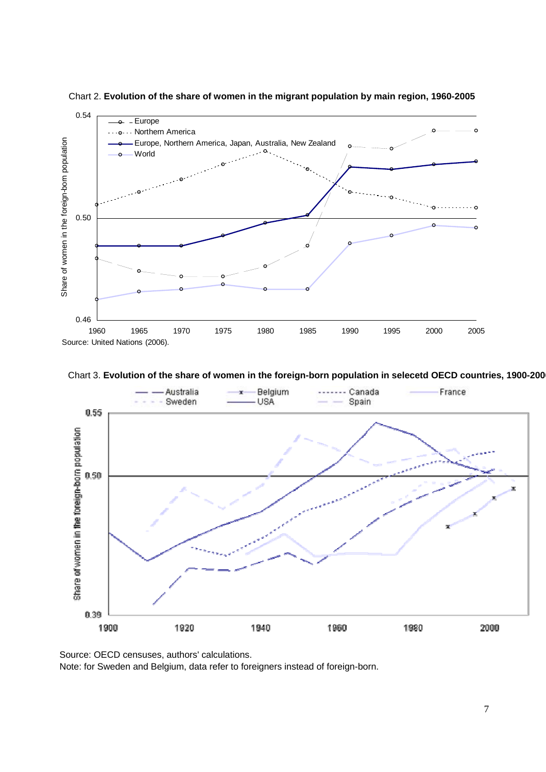

Chart 2. **Evolution of the share of women in the migrant population by main region, 1960-2005**

Chart 3. **Evolution of the share of women in the foreign-born population in selecetd OECD countries, 1900-2006**



Source: OECD censuses, authors' calculations.

Note: for Sweden and Belgium, data refer to foreigners instead of foreign-born.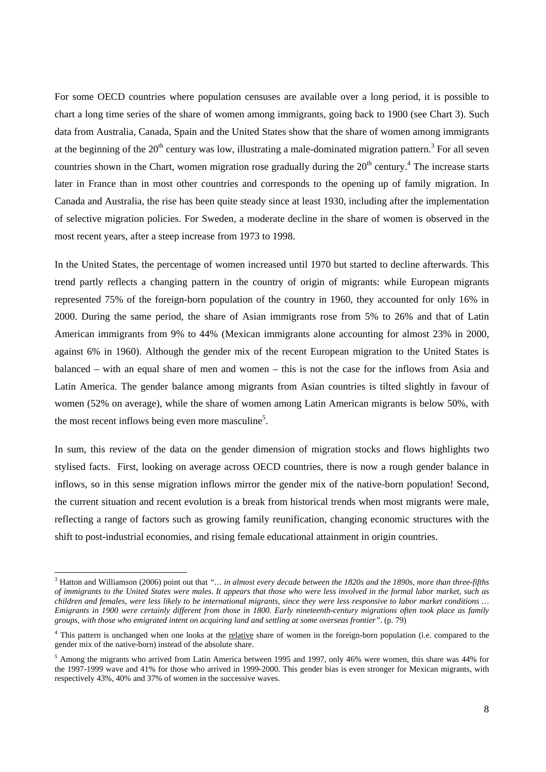For some OECD countries where population censuses are available over a long period, it is possible to chart a long time series of the share of women among immigrants, going back to 1900 (see Chart 3). Such data from Australia, Canada, Spain and the United States show that the share of women among immigrants at the beginning of the  $20<sup>th</sup>$  century was low, illustrating a male-dominated migration pattern.<sup>[3](#page-8-0)</sup> For all seven countries shown in the Chart, women migration rose gradually during the  $20<sup>th</sup>$  century.<sup>[4](#page-8-1)</sup> The increase starts later in France than in most other countries and corresponds to the opening up of family migration. In Canada and Australia, the rise has been quite steady since at least 1930, including after the implementation of selective migration policies. For Sweden, a moderate decline in the share of women is observed in the most recent years, after a steep increase from 1973 to 1998.

In the United States, the percentage of women increased until 1970 but started to decline afterwards. This trend partly reflects a changing pattern in the country of origin of migrants: while European migrants represented 75% of the foreign-born population of the country in 1960, they accounted for only 16% in 2000. During the same period, the share of Asian immigrants rose from 5% to 26% and that of Latin American immigrants from 9% to 44% (Mexican immigrants alone accounting for almost 23% in 2000, against 6% in 1960). Although the gender mix of the recent European migration to the United States is balanced – with an equal share of men and women – this is not the case for the inflows from Asia and Latin America. The gender balance among migrants from Asian countries is tilted slightly in favour of women (52% on average), while the share of women among Latin American migrants is below 50%, with the most recent inflows being even more masculine<sup>[5](#page-8-2)</sup>.

In sum, this review of the data on the gender dimension of migration stocks and flows highlights two stylised facts. First, looking on average across OECD countries, there is now a rough gender balance in inflows, so in this sense migration inflows mirror the gender mix of the native-born population! Second, the current situation and recent evolution is a break from historical trends when most migrants were male, reflecting a range of factors such as growing family reunification, changing economic structures with the shift to post-industrial economies, and rising female educational attainment in origin countries.

<span id="page-8-0"></span> <sup>3</sup> Hatton and Williamson (2006) point out that *"… in almost every decade between the 1820s and the 1890s, more than three-fifths of immigrants to the United States were males. It appears that those who were less involved in the formal labor market, such as children and females, were less likely to be international migrants, since they were less responsive to labor market conditions … Emigrants in 1900 were certainly different from those in 1800. Early nineteenth-century migrations often took place as family groups, with those who emigrated intent on acquiring land and settling at some overseas frontier"*. (p. 79)

<span id="page-8-1"></span><sup>&</sup>lt;sup>4</sup> This pattern is unchanged when one looks at the relative share of women in the foreign-born population (i.e. compared to the gender mix of the native-born) instead of the absolute share.

<span id="page-8-2"></span> $<sup>5</sup>$  Among the migrants who arrived from Latin America between 1995 and 1997, only 46% were women, this share was 44% for</sup> the 1997-1999 wave and 41% for those who arrived in 1999-2000. This gender bias is even stronger for Mexican migrants, with respectively 43%, 40% and 37% of women in the successive waves.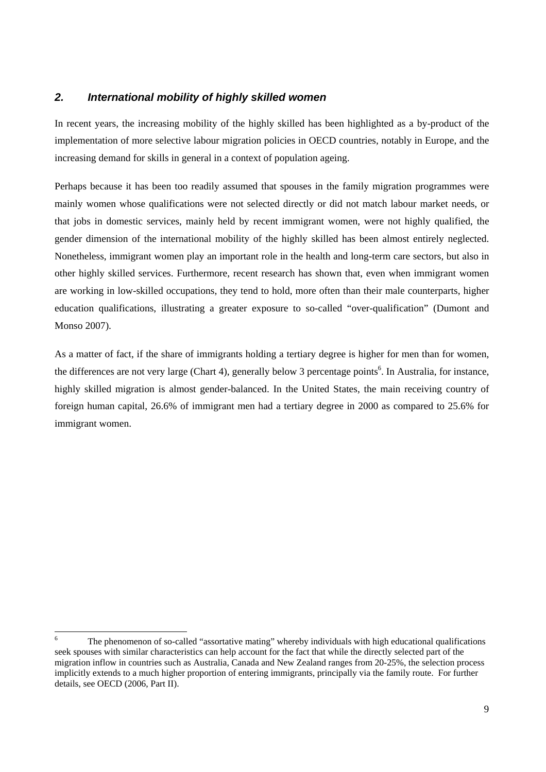#### *2. International mobility of highly skilled women*

In recent years, the increasing mobility of the highly skilled has been highlighted as a by-product of the implementation of more selective labour migration policies in OECD countries, notably in Europe, and the increasing demand for skills in general in a context of population ageing.

Perhaps because it has been too readily assumed that spouses in the family migration programmes were mainly women whose qualifications were not selected directly or did not match labour market needs, or that jobs in domestic services, mainly held by recent immigrant women, were not highly qualified, the gender dimension of the international mobility of the highly skilled has been almost entirely neglected. Nonetheless, immigrant women play an important role in the health and long-term care sectors, but also in other highly skilled services. Furthermore, recent research has shown that, even when immigrant women are working in low-skilled occupations, they tend to hold, more often than their male counterparts, higher education qualifications, illustrating a greater exposure to so-called "over-qualification" (Dumont and Monso 2007).

As a matter of fact, if the share of immigrants holding a tertiary degree is higher for men than for women, the differences are not very large (Chart 4), generally below 3 percentage points<sup>6</sup>. In Australia, for instance, highly skilled migration is almost gender-balanced. In the United States, the main receiving country of foreign human capital, 26.6% of immigrant men had a tertiary degree in 2000 as compared to 25.6% for immigrant women.

<span id="page-9-0"></span> <sup>6</sup> <sup>6</sup> The phenomenon of so-called "assortative mating" whereby individuals with high educational qualifications seek spouses with similar characteristics can help account for the fact that while the directly selected part of the migration inflow in countries such as Australia, Canada and New Zealand ranges from 20-25%, the selection process implicitly extends to a much higher proportion of entering immigrants, principally via the family route. For further details, see OECD (2006, Part II).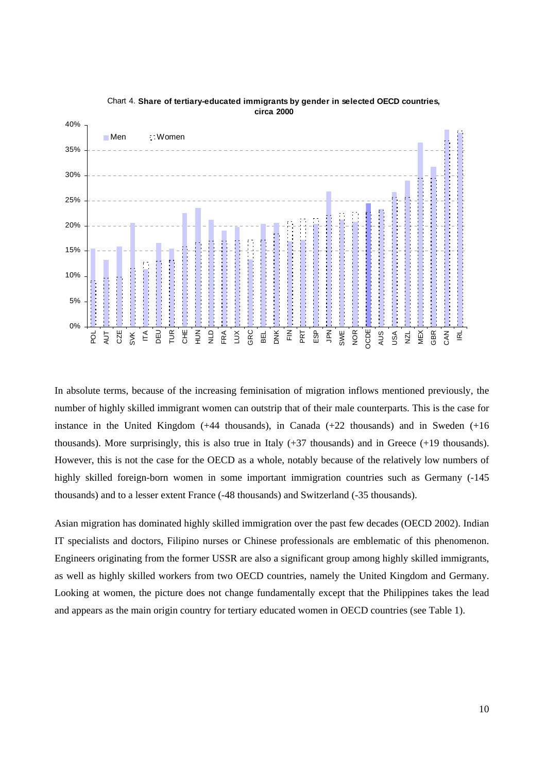

Chart 4. **Share of tertiary-educated immigrants by gender in selected OECD countries, circa 2000**

In absolute terms, because of the increasing feminisation of migration inflows mentioned previously, the number of highly skilled immigrant women can outstrip that of their male counterparts. This is the case for instance in the United Kingdom (+44 thousands), in Canada (+22 thousands) and in Sweden (+16 thousands). More surprisingly, this is also true in Italy (+37 thousands) and in Greece (+19 thousands). However, this is not the case for the OECD as a whole, notably because of the relatively low numbers of highly skilled foreign-born women in some important immigration countries such as Germany  $(-145)$ thousands) and to a lesser extent France (-48 thousands) and Switzerland (-35 thousands).

Asian migration has dominated highly skilled immigration over the past few decades (OECD 2002). Indian IT specialists and doctors, Filipino nurses or Chinese professionals are emblematic of this phenomenon. Engineers originating from the former USSR are also a significant group among highly skilled immigrants, as well as highly skilled workers from two OECD countries, namely the United Kingdom and Germany. Looking at women, the picture does not change fundamentally except that the Philippines takes the lead and appears as the main origin country for tertiary educated women in OECD countries (see Table 1).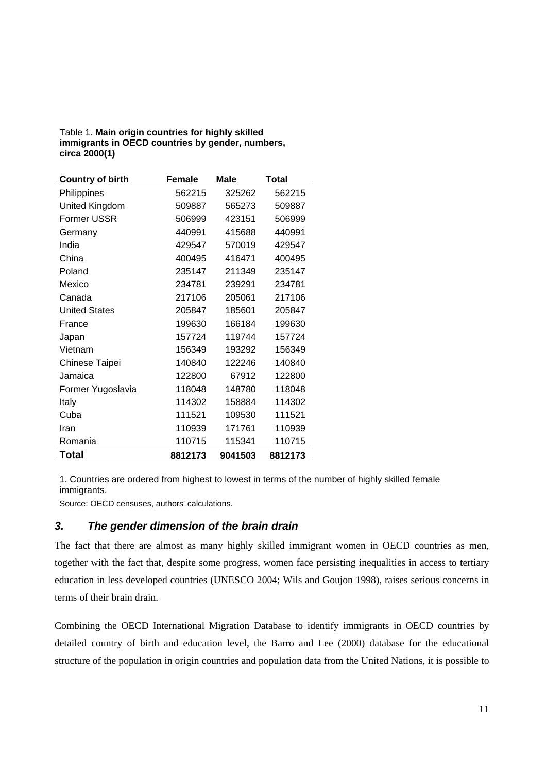#### Table 1. **Main origin countries for highly skilled immigrants in OECD countries by gender, numbers, circa 2000(1)**

| <b>Country of birth</b> | Female  | Male    | Total   |  |
|-------------------------|---------|---------|---------|--|
| Philippines             | 562215  | 325262  | 562215  |  |
| United Kingdom          | 509887  | 565273  | 509887  |  |
| Former USSR             | 506999  | 423151  | 506999  |  |
| Germany                 | 440991  | 415688  | 440991  |  |
| India                   | 429547  | 570019  | 429547  |  |
| China                   | 400495  | 416471  | 400495  |  |
| Poland                  | 235147  | 211349  | 235147  |  |
| Mexico                  | 234781  | 239291  | 234781  |  |
| Canada                  | 217106  | 205061  | 217106  |  |
| <b>United States</b>    | 205847  | 185601  | 205847  |  |
| France                  | 199630  | 166184  | 199630  |  |
| Japan                   | 157724  | 119744  | 157724  |  |
| Vietnam                 | 156349  | 193292  | 156349  |  |
| <b>Chinese Taipei</b>   | 140840  | 122246  | 140840  |  |
| Jamaica                 | 122800  | 67912   | 122800  |  |
| Former Yugoslavia       | 118048  | 148780  | 118048  |  |
| Italy                   | 114302  | 158884  | 114302  |  |
| Cuba                    | 111521  | 109530  | 111521  |  |
| Iran                    | 110939  | 171761  | 110939  |  |
| Romania                 | 110715  | 115341  | 110715  |  |
| Total                   | 8812173 | 9041503 | 8812173 |  |

1. Countries are ordered from highest to lowest in terms of the number of highly skilled female immigrants.

Source: OECD censuses, authors' calculations.

#### *3. The gender dimension of the brain drain*

The fact that there are almost as many highly skilled immigrant women in OECD countries as men, together with the fact that, despite some progress, women face persisting inequalities in access to tertiary education in less developed countries (UNESCO 2004; Wils and Goujon 1998), raises serious concerns in terms of their brain drain.

Combining the OECD International Migration Database to identify immigrants in OECD countries by detailed country of birth and education level, the Barro and Lee (2000) database for the educational structure of the population in origin countries and population data from the United Nations, it is possible to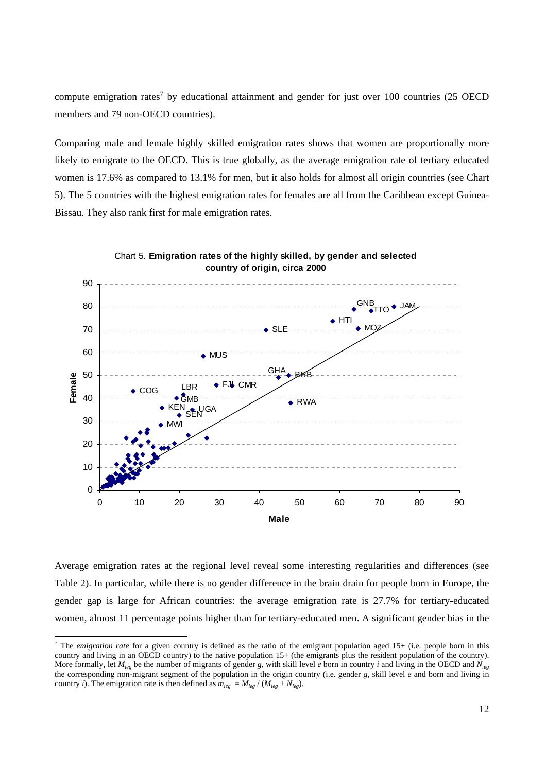compute emigration rates<sup>[7](#page-12-0)</sup> by educational attainment and gender for just over 100 countries (25 OECD members and 79 non-OECD countries).

Comparing male and female highly skilled emigration rates shows that women are proportionally more likely to emigrate to the OECD. This is true globally, as the average emigration rate of tertiary educated women is 17.6% as compared to 13.1% for men, but it also holds for almost all origin countries (see Chart 5). The 5 countries with the highest emigration rates for females are all from the Caribbean except Guinea-Bissau. They also rank first for male emigration rates.





Average emigration rates at the regional level reveal some interesting regularities and differences (see Table 2). In particular, while there is no gender difference in the brain drain for people born in Europe, the gender gap is large for African countries: the average emigration rate is 27.7% for tertiary-educated women, almost 11 percentage points higher than for tertiary-educated men. A significant gender bias in the

<span id="page-12-0"></span><sup>-&</sup>lt;br>7 <sup>7</sup> The *emigration rate* for a given country is defined as the ratio of the emigrant population aged 15+ (i.e. people born in this country and living in an OECD country) to the native population 15+ (the emigrants plus the resident population of the country). More formally, let *Mieg* be the number of migrants of gender *g*, with skill level *e* born in country *i* and living in the OECD and *Nieg* the corresponding non-migrant segment of the population in the origin country (i.e. gender *g*, skill level *e* and born and living in country *i*). The emigration rate is then defined as  $m_{ieg} = M_{ieg} / (M_{ieg} + N_{ieg})$ .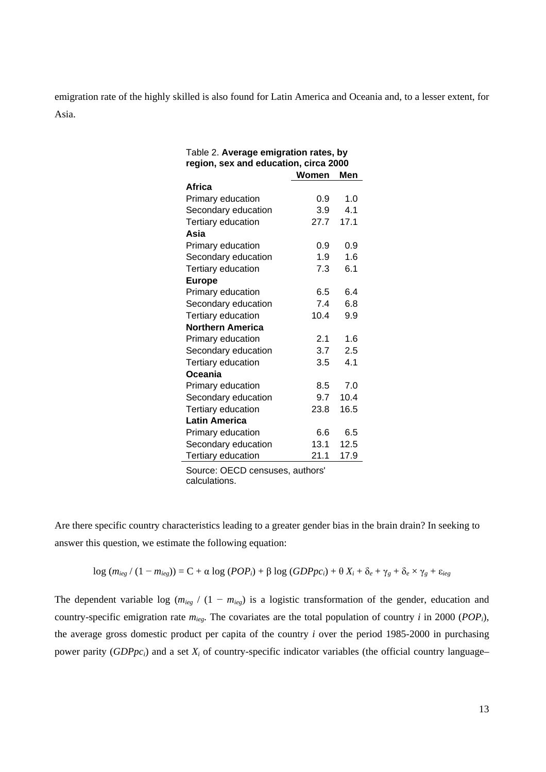emigration rate of the highly skilled is also found for Latin America and Oceania and, to a lesser extent, for Asia.

| Table 2. Average emigration rates, by |       |      |  |  |  |  |
|---------------------------------------|-------|------|--|--|--|--|
| region, sex and education, circa 2000 |       |      |  |  |  |  |
|                                       | Women | Men  |  |  |  |  |
| Africa                                |       |      |  |  |  |  |
| Primary education                     | 0.9   | 1.0  |  |  |  |  |
| Secondary education                   | 3.9   | 4.1  |  |  |  |  |
| Tertiary education                    | 27.7  | 17.1 |  |  |  |  |
| Asia                                  |       |      |  |  |  |  |
| Primary education                     | 0.9   | 0.9  |  |  |  |  |
| Secondary education                   | 1.9   | 1.6  |  |  |  |  |
| Tertiary education                    | 7.3   | 6.1  |  |  |  |  |
| <b>Europe</b>                         |       |      |  |  |  |  |
| Primary education                     | 6.5   | 6.4  |  |  |  |  |
| Secondary education                   | 7.4   | 6.8  |  |  |  |  |
| Tertiary education                    | 10.4  | 9.9  |  |  |  |  |
| <b>Northern America</b>               |       |      |  |  |  |  |
| Primary education                     | 2.1   | 1.6  |  |  |  |  |
| Secondary education                   | 3.7   | 2.5  |  |  |  |  |
| Tertiary education                    | 3.5   | 4.1  |  |  |  |  |
| Oceania                               |       |      |  |  |  |  |
| Primary education                     | 8.5   | 7.0  |  |  |  |  |
| Secondary education                   | 9.7   | 10.4 |  |  |  |  |
| Tertiary education                    | 23.8  | 16.5 |  |  |  |  |
| <b>Latin America</b>                  |       |      |  |  |  |  |
| Primary education                     | 6.6   | 6.5  |  |  |  |  |
| Secondary education                   | 13.1  | 12.5 |  |  |  |  |
| Tertiary education                    | 21.1  | 17.9 |  |  |  |  |

Source: OECD censuses, authors' calculations.

Are there specific country characteristics leading to a greater gender bias in the brain drain? In seeking to answer this question, we estimate the following equation:

$$
\log (m_{ieg} / (1 - m_{ieg})) = C + \alpha \log (POP_i) + \beta \log (GDPpc_i) + \theta X_i + \delta_e + \gamma_g + \delta_e \times \gamma_g + \varepsilon_{ieg}
$$

The dependent variable log ( $m_{ieg}$  / (1 –  $m_{ieg}$ ) is a logistic transformation of the gender, education and country-specific emigration rate *mieg*. The covariates are the total population of country *i* in 2000 (*POPi*), the average gross domestic product per capita of the country *i* over the period 1985-2000 in purchasing power parity (*GDPpci*) and a set *Xi* of country-specific indicator variables (the official country language–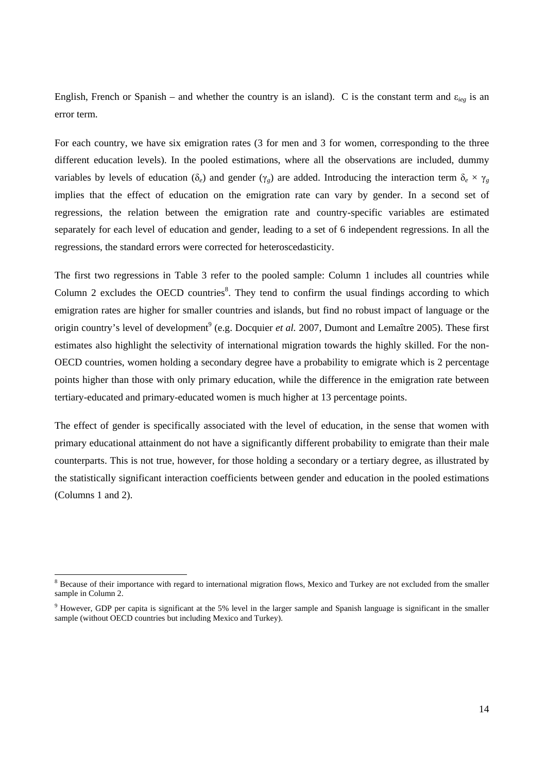English, French or Spanish – and whether the country is an island). C is the constant term and  $\varepsilon_{ieg}$  is an error term.

For each country, we have six emigration rates (3 for men and 3 for women, corresponding to the three different education levels). In the pooled estimations, where all the observations are included, dummy variables by levels of education ( $\delta_e$ ) and gender ( $\gamma_g$ ) are added. Introducing the interaction term  $\delta_e \times \gamma_g$ implies that the effect of education on the emigration rate can vary by gender. In a second set of regressions, the relation between the emigration rate and country-specific variables are estimated separately for each level of education and gender, leading to a set of 6 independent regressions. In all the regressions, the standard errors were corrected for heteroscedasticity.

The first two regressions in Table 3 refer to the pooled sample: Column 1 includes all countries while Column 2 excludes the OECD countries<sup>[8](#page-14-0)</sup>. They tend to confirm the usual findings according to which emigration rates are higher for smaller countries and islands, but find no robust impact of language or the origin country's level of development<sup>9</sup> (e.g. Docquier *et al.* 2007, Dumont and Lemaître 2005). These first estimates also highlight the selectivity of international migration towards the highly skilled. For the non-OECD countries, women holding a secondary degree have a probability to emigrate which is 2 percentage points higher than those with only primary education, while the difference in the emigration rate between tertiary-educated and primary-educated women is much higher at 13 percentage points.

The effect of gender is specifically associated with the level of education, in the sense that women with primary educational attainment do not have a significantly different probability to emigrate than their male counterparts. This is not true, however, for those holding a secondary or a tertiary degree, as illustrated by the statistically significant interaction coefficients between gender and education in the pooled estimations (Columns 1 and 2).

<span id="page-14-0"></span> $\frac{1}{8}$ <sup>8</sup> Because of their importance with regard to international migration flows, Mexico and Turkey are not excluded from the smaller sample in Column 2.

<span id="page-14-1"></span><sup>&</sup>lt;sup>9</sup> However, GDP per capita is significant at the 5% level in the larger sample and Spanish language is significant in the smaller sample (without OECD countries but including Mexico and Turkey).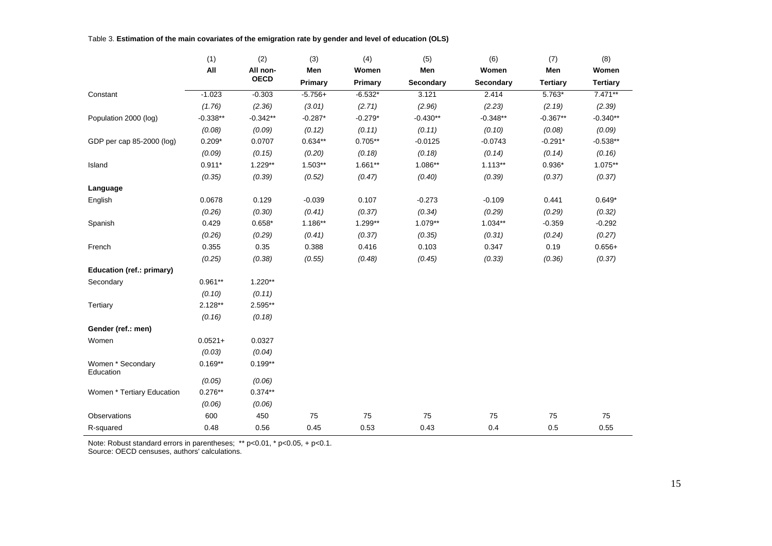Table 3. **Estimation of the main covariates of the emigration rate by gender and level of education (OLS)**

|                                | (1)        | (2)         | (3)       | (4)       | (5)        | (6)        | (7)             | (8)             |
|--------------------------------|------------|-------------|-----------|-----------|------------|------------|-----------------|-----------------|
|                                | All        | All non-    | Men       | Women     | Men        | Women      | Men             | Women           |
|                                |            | <b>OECD</b> | Primary   | Primary   | Secondary  | Secondary  | <b>Tertiary</b> | <b>Tertiary</b> |
| Constant                       | $-1.023$   | $-0.303$    | $-5.756+$ | $-6.532*$ | 3.121      | 2.414      | $5.763*$        | $7.471**$       |
|                                | (1.76)     | (2.36)      | (3.01)    | (2.71)    | (2.96)     | (2.23)     | (2.19)          | (2.39)          |
| Population 2000 (log)          | $-0.338**$ | $-0.342**$  | $-0.287*$ | $-0.279*$ | $-0.430**$ | $-0.348**$ | $-0.367**$      | $-0.340**$      |
|                                | (0.08)     | (0.09)      | (0.12)    | (0.11)    | (0.11)     | (0.10)     | (0.08)          | (0.09)          |
| GDP per cap 85-2000 (log)      | $0.209*$   | 0.0707      | $0.634**$ | $0.705**$ | $-0.0125$  | $-0.0743$  | $-0.291*$       | $-0.538**$      |
|                                | (0.09)     | (0.15)      | (0.20)    | (0.18)    | (0.18)     | (0.14)     | (0.14)          | (0.16)          |
| Island                         | $0.911*$   | 1.229**     | 1.503**   | $1.661**$ | 1.086**    | $1.113**$  | $0.936*$        | 1.075**         |
|                                | (0.35)     | (0.39)      | (0.52)    | (0.47)    | (0.40)     | (0.39)     | (0.37)          | (0.37)          |
| Language                       |            |             |           |           |            |            |                 |                 |
| English                        | 0.0678     | 0.129       | $-0.039$  | 0.107     | $-0.273$   | $-0.109$   | 0.441           | $0.649*$        |
|                                | (0.26)     | (0.30)      | (0.41)    | (0.37)    | (0.34)     | (0.29)     | (0.29)          | (0.32)          |
| Spanish                        | 0.429      | $0.658*$    | 1.186**   | 1.299**   | 1.079**    | $1.034**$  | $-0.359$        | $-0.292$        |
|                                | (0.26)     | (0.29)      | (0.41)    | (0.37)    | (0.35)     | (0.31)     | (0.24)          | (0.27)          |
| French                         | 0.355      | 0.35        | 0.388     | 0.416     | 0.103      | 0.347      | 0.19            | $0.656+$        |
|                                | (0.25)     | (0.38)      | (0.55)    | (0.48)    | (0.45)     | (0.33)     | (0.36)          | (0.37)          |
| Education (ref.: primary)      |            |             |           |           |            |            |                 |                 |
| Secondary                      | $0.961**$  | $1.220**$   |           |           |            |            |                 |                 |
|                                | (0.10)     | (0.11)      |           |           |            |            |                 |                 |
| Tertiary                       | $2.128**$  | 2.595**     |           |           |            |            |                 |                 |
|                                | (0.16)     | (0.18)      |           |           |            |            |                 |                 |
| Gender (ref.: men)             |            |             |           |           |            |            |                 |                 |
| Women                          | $0.0521 +$ | 0.0327      |           |           |            |            |                 |                 |
|                                | (0.03)     | (0.04)      |           |           |            |            |                 |                 |
| Women * Secondary<br>Education | $0.169**$  | $0.199**$   |           |           |            |            |                 |                 |
|                                | (0.05)     | (0.06)      |           |           |            |            |                 |                 |
| Women * Tertiary Education     | $0.276**$  | $0.374**$   |           |           |            |            |                 |                 |
|                                | (0.06)     | (0.06)      |           |           |            |            |                 |                 |
| Observations                   | 600        | 450         | 75        | 75        | 75         | 75         | ${\bf 75}$      | 75              |
| R-squared                      | 0.48       | 0.56        | 0.45      | 0.53      | 0.43       | 0.4        | 0.5             | 0.55            |

Note: Robust standard errors in parentheses; \*\* p<0.01, \* p<0.05, + p<0.1. Source: OECD censuses, authors' calculations.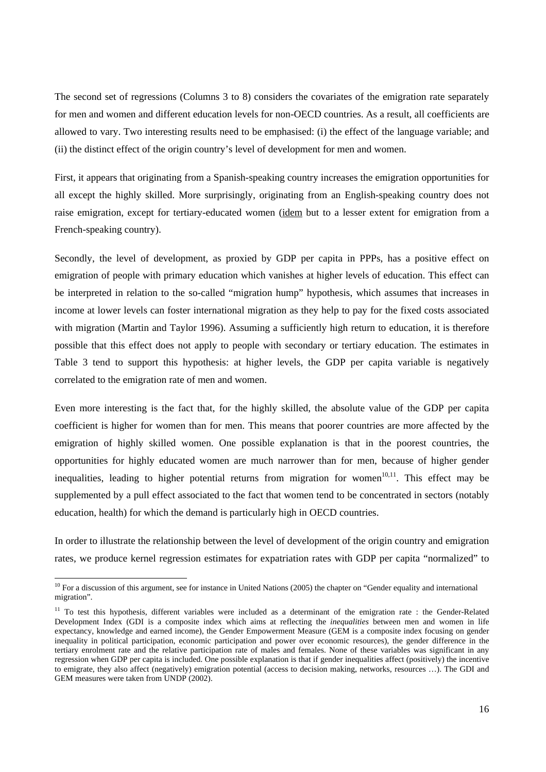The second set of regressions (Columns 3 to 8) considers the covariates of the emigration rate separately for men and women and different education levels for non-OECD countries. As a result, all coefficients are allowed to vary. Two interesting results need to be emphasised: (i) the effect of the language variable; and (ii) the distinct effect of the origin country's level of development for men and women.

First, it appears that originating from a Spanish-speaking country increases the emigration opportunities for all except the highly skilled. More surprisingly, originating from an English-speaking country does not raise emigration, except for tertiary-educated women (idem but to a lesser extent for emigration from a French-speaking country).

Secondly, the level of development, as proxied by GDP per capita in PPPs, has a positive effect on emigration of people with primary education which vanishes at higher levels of education. This effect can be interpreted in relation to the so-called "migration hump" hypothesis, which assumes that increases in income at lower levels can foster international migration as they help to pay for the fixed costs associated with migration (Martin and Taylor 1996). Assuming a sufficiently high return to education, it is therefore possible that this effect does not apply to people with secondary or tertiary education. The estimates in Table 3 tend to support this hypothesis: at higher levels, the GDP per capita variable is negatively correlated to the emigration rate of men and women.

Even more interesting is the fact that, for the highly skilled, the absolute value of the GDP per capita coefficient is higher for women than for men. This means that poorer countries are more affected by the emigration of highly skilled women. One possible explanation is that in the poorest countries, the opportunities for highly educated women are much narrower than for men, because of higher gender inequalities, leading to higher potential returns from migration for women $10,11$ . This effect may be supplemented by a pull effect associated to the fact that women tend to be concentrated in sectors (notably education, health) for which the demand is particularly high in OECD countries.

In order to illustrate the relationship between the level of development of the origin country and emigration rates, we produce kernel regression estimates for expatriation rates with GDP per capita "normalized" to

<span id="page-16-0"></span> $10$  For a discussion of this argument, see for instance in United Nations (2005) the chapter on "Gender equality and international migration".

<span id="page-16-1"></span><sup>&</sup>lt;sup>11</sup> To test this hypothesis, different variables were included as a determinant of the emigration rate : the Gender-Related Development Index (GDI is a composite index which aims at reflecting the *inequalities* between men and women in life expectancy, knowledge and earned income), the Gender Empowerment Measure (GEM is a composite index focusing on gender inequality in political participation, economic participation and power over economic resources), the gender difference in the tertiary enrolment rate and the relative participation rate of males and females. None of these variables was significant in any regression when GDP per capita is included. One possible explanation is that if gender inequalities affect (positively) the incentive to emigrate, they also affect (negatively) emigration potential (access to decision making, networks, resources …). The GDI and GEM measures were taken from UNDP (2002).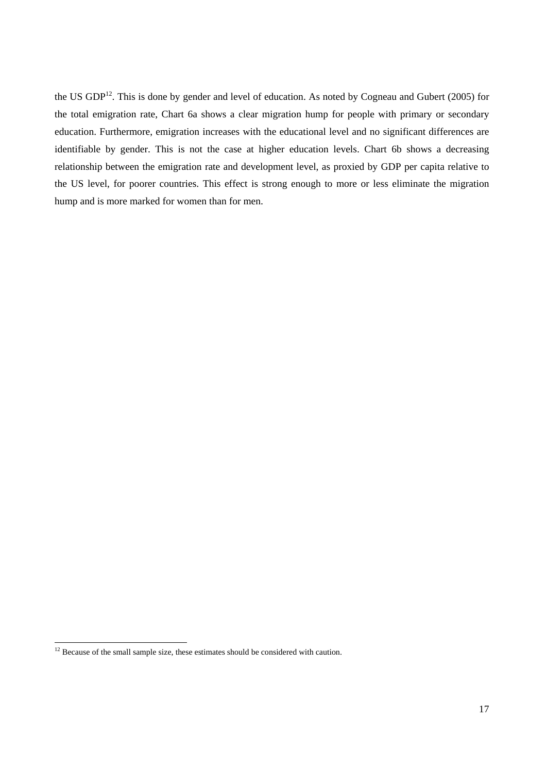the US GDP<sup>12</sup>. This is done by gender and level of education. As noted by Cogneau and Gubert (2005) for the total emigration rate, Chart 6a shows a clear migration hump for people with primary or secondary education. Furthermore, emigration increases with the educational level and no significant differences are identifiable by gender. This is not the case at higher education levels. Chart 6b shows a decreasing relationship between the emigration rate and development level, as proxied by GDP per capita relative to the US level, for poorer countries. This effect is strong enough to more or less eliminate the migration hump and is more marked for women than for men.

<span id="page-17-0"></span> $12$  Because of the small sample size, these estimates should be considered with caution.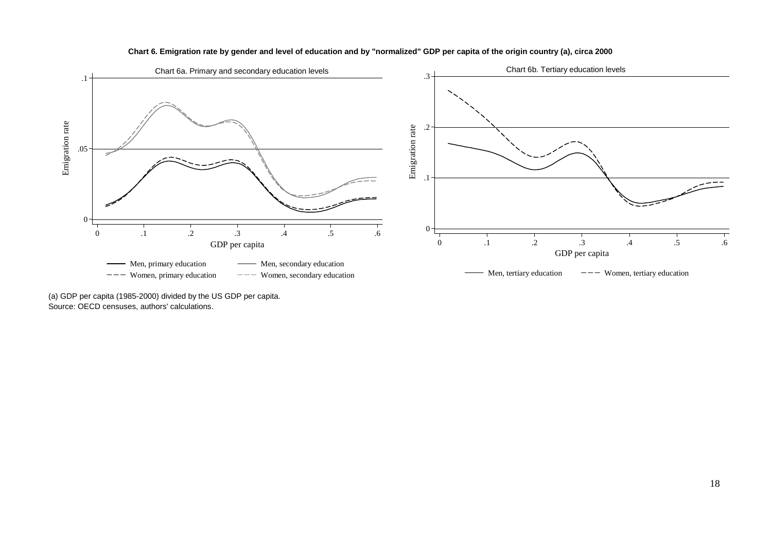

#### **Chart 6. Emigration rate by gender and level of education and by "normalized" GDP per capita of the origin country (a), circa 2000**

(a) GDP per capita (1985-2000) divided by the US GDP per capita. Source: OECD censuses, authors' calculations.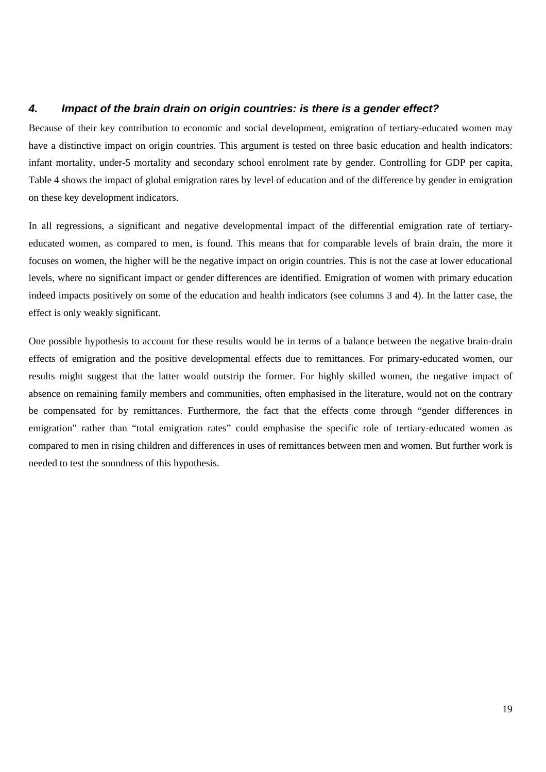#### *4. Impact of the brain drain on origin countries: is there is a gender effect?*

Because of their key contribution to economic and social development, emigration of tertiary-educated women may have a distinctive impact on origin countries. This argument is tested on three basic education and health indicators: infant mortality, under-5 mortality and secondary school enrolment rate by gender. Controlling for GDP per capita, Table 4 shows the impact of global emigration rates by level of education and of the difference by gender in emigration on these key development indicators.

In all regressions, a significant and negative developmental impact of the differential emigration rate of tertiaryeducated women, as compared to men, is found. This means that for comparable levels of brain drain, the more it focuses on women, the higher will be the negative impact on origin countries. This is not the case at lower educational levels, where no significant impact or gender differences are identified. Emigration of women with primary education indeed impacts positively on some of the education and health indicators (see columns 3 and 4). In the latter case, the effect is only weakly significant.

One possible hypothesis to account for these results would be in terms of a balance between the negative brain-drain effects of emigration and the positive developmental effects due to remittances. For primary-educated women, our results might suggest that the latter would outstrip the former. For highly skilled women, the negative impact of absence on remaining family members and communities, often emphasised in the literature, would not on the contrary be compensated for by remittances. Furthermore, the fact that the effects come through "gender differences in emigration" rather than "total emigration rates" could emphasise the specific role of tertiary-educated women as compared to men in rising children and differences in uses of remittances between men and women. But further work is needed to test the soundness of this hypothesis.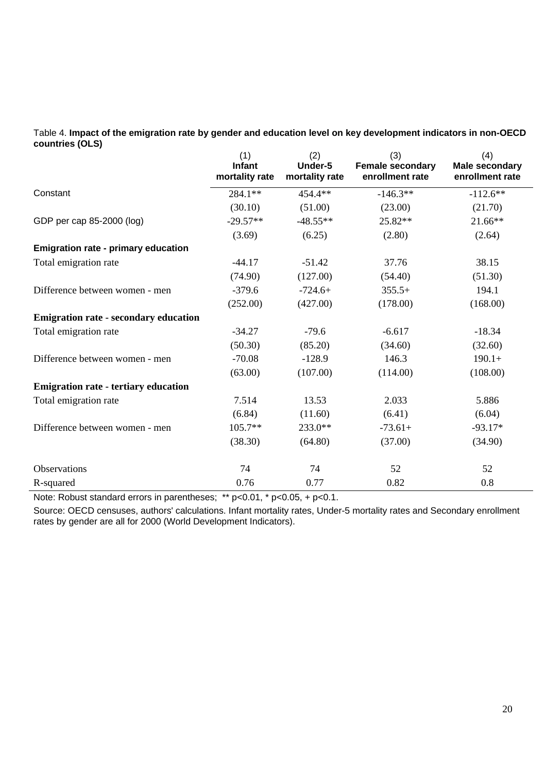Table 4. **Impact of the emigration rate by gender and education level on key development indicators in non-OECD countries (OLS)**

|                                              | (1)<br>Infant<br>mortality rate | (2)<br>Under-5<br>mortality rate | (3)<br>Female secondary<br>enrollment rate | (4)<br><b>Male secondary</b><br>enrollment rate |
|----------------------------------------------|---------------------------------|----------------------------------|--------------------------------------------|-------------------------------------------------|
| Constant                                     | $284.1**$                       | 454.4**                          | $-146.3**$                                 | $-112.6**$                                      |
|                                              | (30.10)                         | (51.00)                          | (23.00)                                    | (21.70)                                         |
| GDP per cap 85-2000 (log)                    | $-29.57**$                      | $-48.55**$                       | 25.82**                                    | 21.66**                                         |
|                                              | (3.69)                          | (6.25)                           | (2.80)                                     | (2.64)                                          |
| <b>Emigration rate - primary education</b>   |                                 |                                  |                                            |                                                 |
| Total emigration rate                        | $-44.17$                        | $-51.42$                         | 37.76                                      | 38.15                                           |
|                                              | (74.90)                         | (127.00)                         | (54.40)                                    | (51.30)                                         |
| Difference between women - men               | $-379.6$                        | $-724.6+$                        | $355.5+$                                   | 194.1                                           |
|                                              | (252.00)                        | (427.00)                         | (178.00)                                   | (168.00)                                        |
| <b>Emigration rate - secondary education</b> |                                 |                                  |                                            |                                                 |
| Total emigration rate                        | $-34.27$                        | $-79.6$                          | $-6.617$                                   | $-18.34$                                        |
|                                              | (50.30)                         | (85.20)                          | (34.60)                                    | (32.60)                                         |
| Difference between women - men               | $-70.08$                        | $-128.9$                         | 146.3                                      | $190.1+$                                        |
|                                              | (63.00)                         | (107.00)                         | (114.00)                                   | (108.00)                                        |
| <b>Emigration rate - tertiary education</b>  |                                 |                                  |                                            |                                                 |
| Total emigration rate                        | 7.514                           | 13.53                            | 2.033                                      | 5.886                                           |
|                                              | (6.84)                          | (11.60)                          | (6.41)                                     | (6.04)                                          |
| Difference between women - men               | $105.7**$                       | 233.0**                          | $-73.61+$                                  | $-93.17*$                                       |
|                                              | (38.30)                         | (64.80)                          | (37.00)                                    | (34.90)                                         |
| Observations                                 | 74                              | 74                               | 52                                         | 52                                              |
| R-squared                                    | 0.76                            | 0.77                             | 0.82                                       | 0.8                                             |

Note: Robust standard errors in parentheses; \*\* p<0.01, \* p<0.05, + p<0.1.

Source: OECD censuses, authors' calculations. Infant mortality rates, Under-5 mortality rates and Secondary enrollment rates by gender are all for 2000 (World Development Indicators).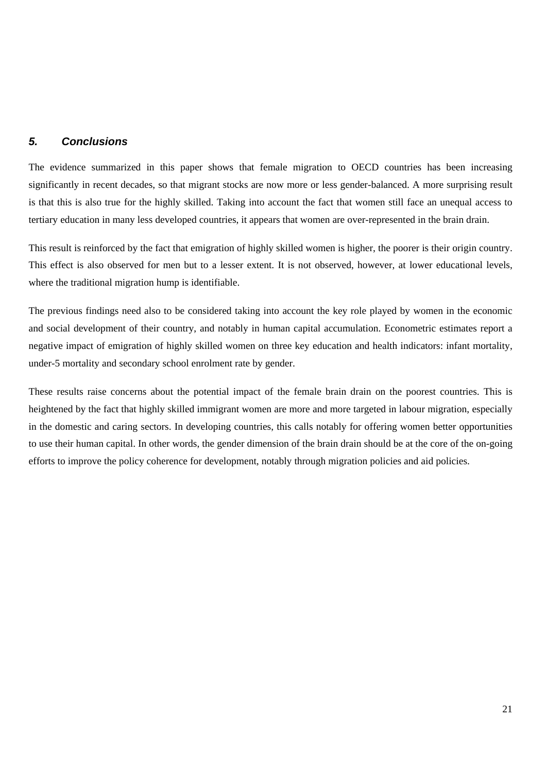#### *5. Conclusions*

The evidence summarized in this paper shows that female migration to OECD countries has been increasing significantly in recent decades, so that migrant stocks are now more or less gender-balanced. A more surprising result is that this is also true for the highly skilled. Taking into account the fact that women still face an unequal access to tertiary education in many less developed countries, it appears that women are over-represented in the brain drain.

This result is reinforced by the fact that emigration of highly skilled women is higher, the poorer is their origin country. This effect is also observed for men but to a lesser extent. It is not observed, however, at lower educational levels, where the traditional migration hump is identifiable.

The previous findings need also to be considered taking into account the key role played by women in the economic and social development of their country, and notably in human capital accumulation. Econometric estimates report a negative impact of emigration of highly skilled women on three key education and health indicators: infant mortality, under-5 mortality and secondary school enrolment rate by gender.

These results raise concerns about the potential impact of the female brain drain on the poorest countries. This is heightened by the fact that highly skilled immigrant women are more and more targeted in labour migration, especially in the domestic and caring sectors. In developing countries, this calls notably for offering women better opportunities to use their human capital. In other words, the gender dimension of the brain drain should be at the core of the on-going efforts to improve the policy coherence for development, notably through migration policies and aid policies.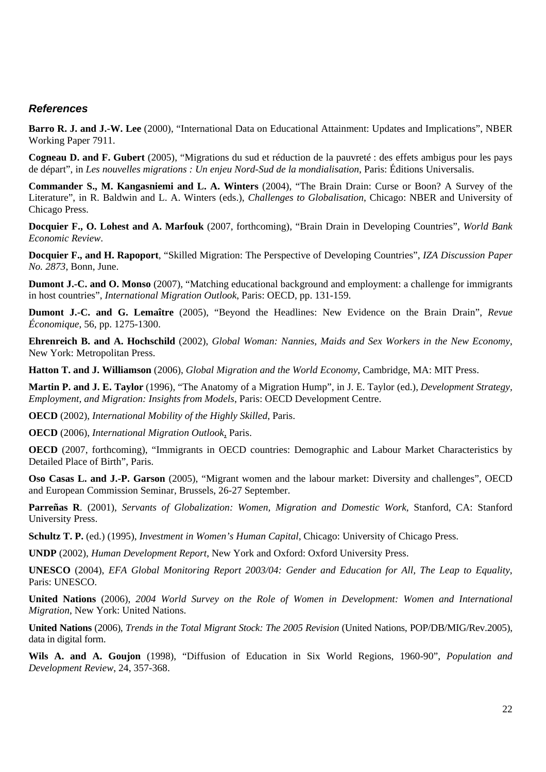#### *References*

**Barro R. J. and J.-W. Lee** (2000), "International Data on Educational Attainment: Updates and Implications", NBER Working Paper 7911.

**Cogneau D. and F. Gubert** (2005), "Migrations du sud et réduction de la pauvreté : des effets ambigus pour les pays de départ", in *Les nouvelles migrations : Un enjeu Nord-Sud de la mondialisation*, Paris: Éditions Universalis.

**Commander S., M. Kangasniemi and L. A. Winters** (2004), "The Brain Drain: Curse or Boon? A Survey of the Literature", in R. Baldwin and L. A. Winters (eds.), *Challenges to Globalisation*, Chicago: NBER and University of Chicago Press.

**Docquier F., O. Lohest and A. Marfouk** (2007, forthcoming), "Brain Drain in Developing Countries", *World Bank Economic Review*.

**Docquier F., and H. Rapoport**, "Skilled Migration: The Perspective of Developing Countries", *IZA Discussion Paper No. 2873*, Bonn, June.

**Dumont J.-C. and O. Monso** (2007), "Matching educational background and employment: a challenge for immigrants in host countries", *International Migration Outlook*, Paris: OECD, pp. 131-159.

**Dumont J.-C. and G. Lemaître** (2005), "Beyond the Headlines: New Evidence on the Brain Drain", *Revue Économique*, 56, pp. 1275-1300.

**Ehrenreich B. and A. Hochschild** (2002), *Global Woman: Nannies, Maids and Sex Workers in the New Economy*, New York: Metropolitan Press.

**Hatton T. and J. Williamson** (2006), *Global Migration and the World Economy*, Cambridge, MA: MIT Press.

**Martin P. and J. E. Taylor** (1996), "The Anatomy of a Migration Hump", in J. E. Taylor (ed.), *Development Strategy, Employment, and Migration: Insights from Models*, Paris: OECD Development Centre.

**OECD** (2002), *International Mobility of the Highly Skilled*, Paris.

**OECD** (2006), *International Migration Outlook*, Paris.

**OECD** (2007, forthcoming), "Immigrants in OECD countries: Demographic and Labour Market Characteristics by Detailed Place of Birth", Paris.

**Oso Casas L. and J.-P. Garson** (2005), "Migrant women and the labour market: Diversity and challenges", OECD and European Commission Seminar, Brussels, 26-27 September.

**Parreñas R***.* (2001), *Servants of Globalization: Women, Migration and Domestic Work,* Stanford, CA: Stanford University Press.

**Schultz T. P.** (ed.) (1995), *Investment in Women's Human Capital*, Chicago: University of Chicago Press.

**UNDP** (2002), *Human Development Report*, New York and Oxford: Oxford University Press.

**UNESCO** (2004), *EFA Global Monitoring Report 2003/04: Gender and Education for All, The Leap to Equality*, Paris: UNESCO.

**United Nations** (2006), *2004 World Survey on the Role of Women in Development: Women and International Migration*, New York: United Nations.

**United Nations** (2006), *Trends in the Total Migrant Stock: The 2005 Revision* (United Nations, POP/DB/MIG/Rev.2005), data in digital form.

**Wils A. and A. Goujon** (1998), "Diffusion of Education in Six World Regions, 1960-90", *Population and Development Review*, 24, 357-368.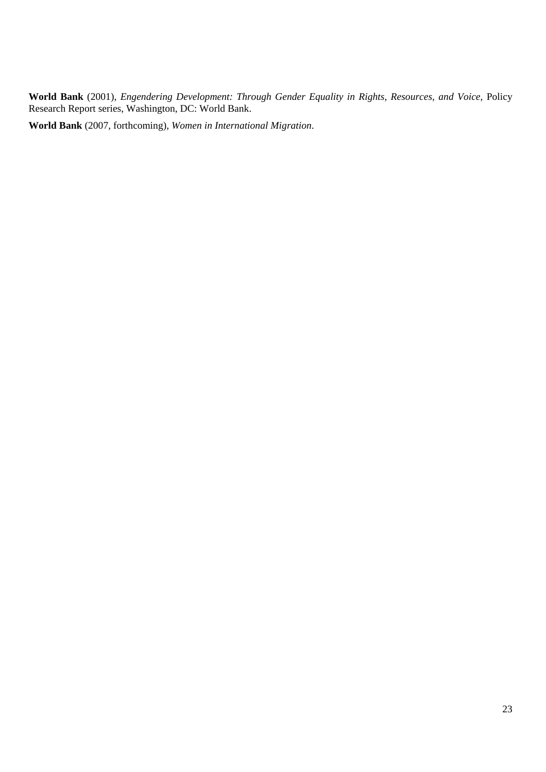**World Bank** (2001), *Engendering Development: Through Gender Equality in Rights, Resources, and Voice*, Policy Research Report series, Washington, DC: World Bank.

**World Bank** (2007, forthcoming), *Women in International Migration*.